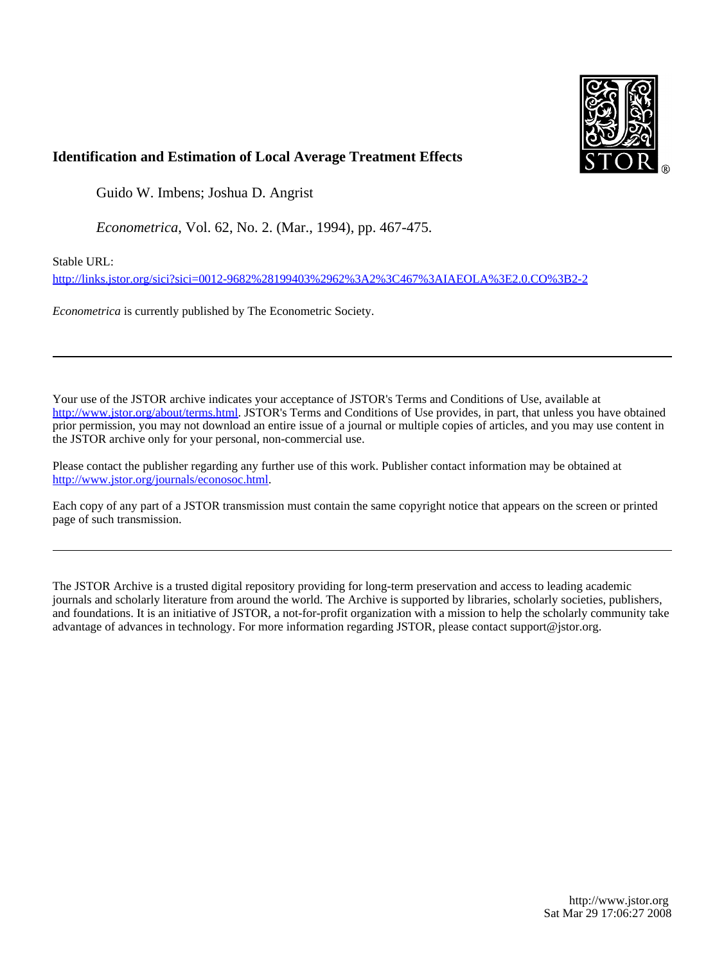

## **Identification and Estimation of Local Average Treatment Effects**

Guido W. Imbens; Joshua D. Angrist

*Econometrica*, Vol. 62, No. 2. (Mar., 1994), pp. 467-475.

Stable URL:

<http://links.jstor.org/sici?sici=0012-9682%28199403%2962%3A2%3C467%3AIAEOLA%3E2.0.CO%3B2-2>

*Econometrica* is currently published by The Econometric Society.

Your use of the JSTOR archive indicates your acceptance of JSTOR's Terms and Conditions of Use, available at [http://www.jstor.org/about/terms.html.](http://www.jstor.org/about/terms.html) JSTOR's Terms and Conditions of Use provides, in part, that unless you have obtained prior permission, you may not download an entire issue of a journal or multiple copies of articles, and you may use content in the JSTOR archive only for your personal, non-commercial use.

Please contact the publisher regarding any further use of this work. Publisher contact information may be obtained at [http://www.jstor.org/journals/econosoc.html.](http://www.jstor.org/journals/econosoc.html)

Each copy of any part of a JSTOR transmission must contain the same copyright notice that appears on the screen or printed page of such transmission.

The JSTOR Archive is a trusted digital repository providing for long-term preservation and access to leading academic journals and scholarly literature from around the world. The Archive is supported by libraries, scholarly societies, publishers, and foundations. It is an initiative of JSTOR, a not-for-profit organization with a mission to help the scholarly community take advantage of advances in technology. For more information regarding JSTOR, please contact support@jstor.org.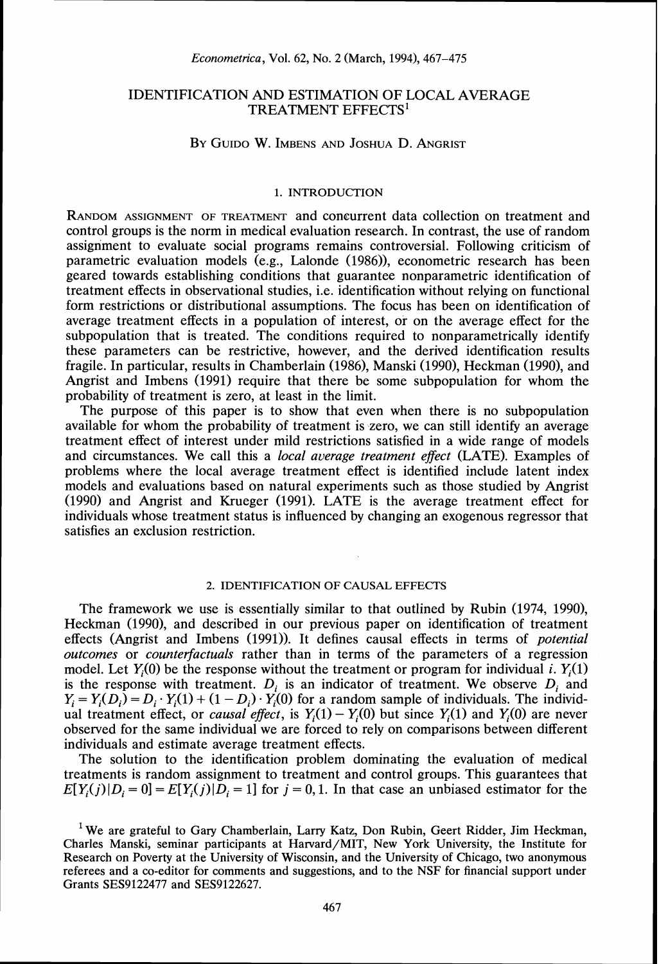### IDENTIFICATION AND ESTIMATION OF LOCAL AVERAGE TREATMENT EFFECTS'

### BY GUIDO W. IMBENS AND JOSHUA D. ANGRIST

### 1. INTRODUCTION

RANDOMASSIGNMENT OF TREATMENT and concurrent data collection on treatment and control groups is the norm in medical evaluation research. In contrast, the use of random assignment to evaluate social programs remains controversial. Following criticism of parametric evaluation models (e.g., Lalonde *(1986)),* econometric research has been geared towards establishing conditions that guarantee nonparametric identification of treatment effects in observational studies, i.e. identification without relying on functional form restrictions or distributional assumptions. The focus has been on identification of average treatment effects in a population of interest, or on the average effect for the subpopulation that is treated. The conditions required to nonparametrically identify these parameters can be restrictive, however, and the derived identification results fragile. In particular, results in Chamberlain (1986), Manski (1990), Heckman (1990), and Angrist and Imbens *(1991)* require that there be some subpopulation for whom the probability of treatment is zero, at least in the limit.

The purpose of this paper is to show that even when there is no subpopulation available for whom the probability of treatment is zero, we can still identify an average treatment effect of interest under mild restrictions satisfied in a wide range of models and circumstances. We call this a *local average treatment effect* (LATE). Examples of problems where the local average treatment effect is identified include latent index models and evaluations based on natural experiments such as those studied by Angrist *(1990)* and Angrist and Krueger *(1991).* LATE is the average treatment effect for individuals whose treatment status is influenced by changing an exogenous regressor that satisfies an exclusion restriction.

#### 2. IDENTIFICATION OF CAUSAL EFFECTS

The framework we use is essentially similar to that outlined by Rubin *(1974, 1990),*  Heckrnan *(1990),* and described in our previous paper on identification of treatment effects (Angrist and Imbens *(1991)).* It defines causal effects in terms of *potential outcomes* or *counterfactuals* rather than in terms of the parameters of a regression model. Let  $Y_i(0)$  be the response without the treatment or program for individual *i*.  $Y_i(1)$ is the response with treatment.  $D_i$  is an indicator of treatment. We observe  $D_i$  and  $Y_i = Y_i(D_i) = D_i \cdot Y_i(1) + (1 - D_i) \cdot Y_i(0)$  for a random sample of individuals. The individ- $Y_i = Y_i(D_i) = D_i \cdot Y_i(1) + (1 - D_i) \cdot Y_i(0)$  for a random sample of individuals. The individual treatment effect, or *causal effect*, is  $Y_i(1) - Y_i(0)$  but since  $Y_i(1)$  and  $Y_i(0)$  are never observed for the same individual we are forced to rely on comparisons between different individuals and estimate average treatment effects.

The solution to the identification problem dominating the evaluation of medical treatments is random assignment to treatment and control groups. This guarantees that  $E[Y_i(j)|D_i=0] = E[Y_i(j)|D_i=1]$  for  $j=0,1$ . In that case an unbiased estimator for the

<sup>&</sup>lt;sup>1</sup> We are grateful to Gary Chamberlain, Larry Katz, Don Rubin, Geert Ridder, Jim Heckman, Charles Manski, seminar participants at Harvard/MIT, New York University, the Institute for Research on Poverty at the University of Wisconsin, and the University of Chicago, two anonymous referees and a co-editor for comments and suggestions, and to the NSF for financial support under Grants SES9122477 and SES9122627.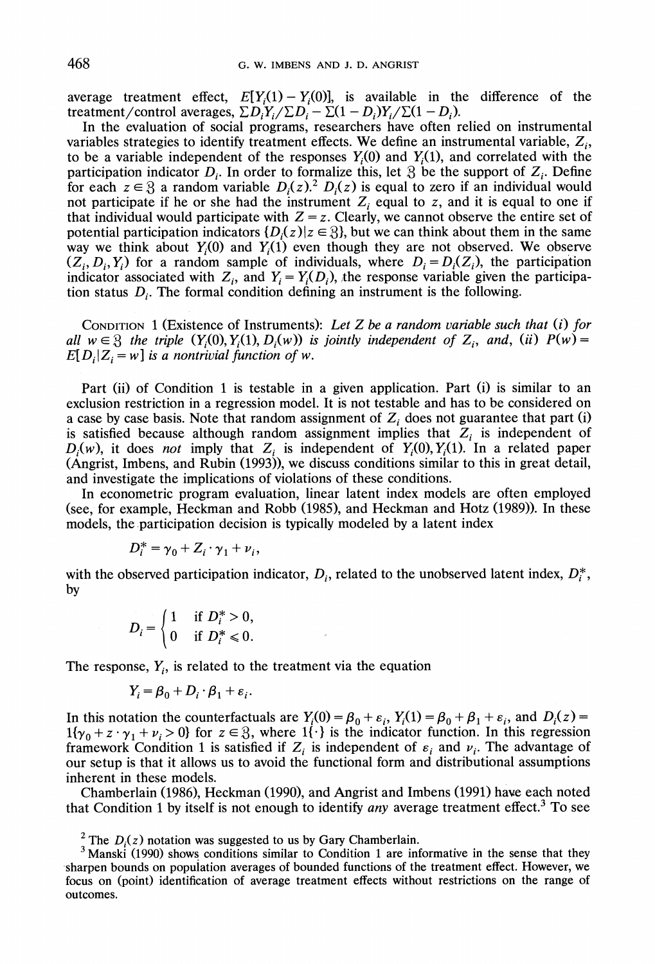average treatment effect,  $E[Y_i(1) - Y_i(0)]$ , is available in the difference of the treatment/control averages,  $\sum D_i Y_i / \sum D_i - \sum (1 - D_i)Y_i / \sum (1 - D_i)$ .

In the evaluation of social programs, researchers have often relied on instrumental variables strategies to identify treatment effects. We define an instrumental variable,  $Z_i$ , to be a variable independent of the responses  $Y_i(0)$  and  $Y_i(1)$ , and correlated with the participation indicator  $D_i$ . In order to formalize this, let  $\mathcal{B}$  be the support of  $Z_i$ . Define for each  $z \in \mathcal{S}$  a random variable  $D_i(z)$ .<sup>2</sup>  $D_i(z)$  is equal to zero if an individual would not participate if he or she had the instrument  $Z_i$  equal to z, and it is equal to one if that individual would participate with  $Z = z$ . Clearly, we cannot observe the entire set of potential participation indicators  $\{D_i(z)|z \in \S\}$ , but we can think about them in the same way we think about  $Y_i(0)$  and  $Y_i(1)$  even though they are not observed. We observe  $(Z_i, D_i, Y_i)$  for a random sample of individuals, where  $D_i = D_i(Z_i)$ , the participation indicator associated with  $Z_i$ , and  $Y_i = Y_i(D_i)$ , the response variable given the participation status  $D_i$ . The formal condition defining an instrument is the following.

CONDITION1(Existence of Instruments): *Let* Z *be a random uariable such that* **(i)** *for all*  $w \in \mathcal{S}$  the triple  $(Y_i(0), Y_i(1), D_i(w))$  *is jointly independent of*  $Z_i$ *, and, (ii)*  $P(w) =$  $E[D_i | Z_i = w]$  *is a nontrivial function of w.* 

Part (ii) of Condition 1 is testable in a given application. Part (i) is similar to an exclusion restriction in a regression model. It is not testable and has to be considered on a case by case basis. Note that random assignment of  $Z_i$  does not guarantee that part (i) is satisfied because although random assignment implies that  $Z_i$  is independent of  $D_i(w)$ , it does *not* imply that  $Z_i$  is independent of  $Y_i(0), Y_i(1)$ . In a related paper (Angrist, Imbens, and Rubin (1993)), we discuss conditions similar to this in great detail, and investigate the implications of violations of these conditions.

In econometric program evaluation, linear latent index models are often employed (see, for example, Heckman and Robb (1985), and Heckman and Hotz (1989)). In these models, the participation decision is typically modeled by a latent index

$$
D_i^* = \gamma_0 + Z_i \cdot \gamma_1 + \nu_i,
$$

with the observed participation indicator,  $D_i$ , related to the unobserved latent index,  $D_i^*$ , by

$$
D_i = \begin{cases} 1 & \text{if } D_i^* > 0, \\ 0 & \text{if } D_i^* \leq 0. \end{cases}
$$

The response,  $Y_i$ , is related to the treatment via the equation

$$
Y_i = \beta_0 + D_i \cdot \beta_1 + \varepsilon_i.
$$

In this notation the counterfactuals are  $Y_i(0) = \beta_0 + \varepsilon_i$ ,  $Y_i(1) = \beta_0 + \beta_1 + \varepsilon_i$ , and  $D_i(z) =$  $1\{y_0 + z \cdot y_1 + v_i > 0\}$  for  $z \in \mathcal{B}$ , where  $1\{\cdot\}$  is the indicator function. In this regression framework Condition 1 is satisfied if  $Z_i$  is independent of  $\varepsilon_i$  and  $\nu_i$ . The advantage of our setup is that it allows us to avoid the functional form and distributional assumptions inherent in these models.

Chamberlain (1986), Heckman (1990), and Angrist and Imbens (1991) have each noted that Condition 1 by itself is not enough to identify *any* average treatment effect.<sup>3</sup> To see

<sup>2</sup> The  $D_i(z)$  notation was suggested to us by Gary Chamberlain.

 $3$  Manski (1990) shows conditions similar to Condition 1 are informative in the sense that they sharpen bounds on population averages of bounded functions of the treatment effect. However, we focus on (point) identification of average treatment effects without restrictions on the range of outcomes.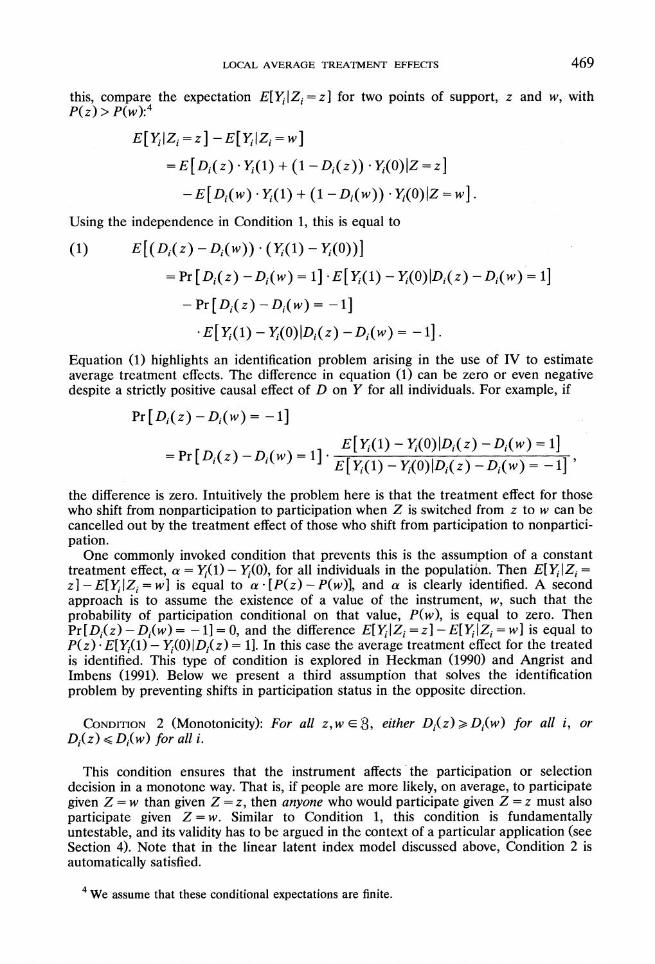this, compare the expectation  $E[Y_i|Z_i = z]$  for two points of support, z and w, with  $P(z) > P(w)$ :<sup>4</sup>

$$
E[Y_i|Z_i = z] - E[Y_i|Z_i = w]
$$
  
= 
$$
E[D_i(z) \cdot Y_i(1) + (1 - D_i(z)) \cdot Y_i(0)|Z = z]
$$
  
- 
$$
E[D_i(w) \cdot Y_i(1) + (1 - D_i(w)) \cdot Y_i(0)|Z = w].
$$

Using the independence in Condition 1, this is equal to

(1) 
$$
E[(D_i(z) - D_i(w)) \cdot (Y_i(1) - Y_i(0))] = Pr[D_i(z) - D_i(w) = 1] \cdot E[Y_i(1) - Y_i(0)|D_i(z) - D_i(w) = 1]
$$

$$
- Pr[D_i(z) - D_i(w) = -1]
$$

$$
\cdot E[Y_i(1) - Y_i(0)|D_i(z) - D_i(w) = -1].
$$

Equation (1) highlights an identification problem arising in the use of IV to estimate average treatment effects. The difference in equation (1) can be zero or even negative despite a strictly positive causal effect of  $D$  on  $Y$  for all individuals. For example, if

$$
Pr[D_i(z) - D_i(w) = -1]
$$
  
= 
$$
Pr[D_i(z) - D_i(w) = 1] \cdot \frac{E[Y_i(1) - Y_i(0)|D_i(z) - D_i(w) = 1]}{E[Y_i(1) - Y_i(0)|D_i(z) - D_i(w) = -1]},
$$

the difference is zero. Intuitively the problem here is that the treatment effect for those who shift from nonparticipation to participation when Z is switched from z to w can be cancelled out by the treatment effect of those who shift from participation to nonparticipation.

One commonly invoked condition that prevents this is the assumption of a constant treatment effect,  $\alpha = Y_i(1) - Y_i(0)$ , for all individuals in the population. Then  $E[Y_i|Z_i =$  $z$ ] -  $E[Y_i|Z_i = w]$  is equal to  $\alpha \cdot [P(z) - P(w)]$ , and  $\alpha$  is clearly identified. A second approach is to assume the existence of a value of the instrument,  $w$ , such that the probability of participation conditional on that value,  $P(w)$ , is equal to zero. Then  $Pr[D_i(z) - D_i(w) = -1] = 0$ , and the difference  $E[Y_i | Z_i = z] - E[Y_i | Z_i = w]$  is equal to  $P(z) \cdot E[Y_{i}(1) - Y_{i}(0)|D_{i}(z) = 1]$ . In this case the average treatment effect for the treated is identified. This type of condition is explored in Heckman (1990) and Angrist and Imbens (1991). Below we present a third assumption that solves the identification problem by preventing shifts in participation status in the opposite direction.

CONDITION 2 (Monotonicity): For all  $z, w \in \mathcal{Z}$ , either  $D_i(z) \ge D_i(w)$  for all **i**, or  $D_i(z) \leq D_i(w)$  *for all i.* 

This condition ensures that the instrument affects the participation or selection decision in a monotone way. That is, if people are more likely, on average, to participate given  $Z = w$  than given  $Z = z$ , then *anyone* who would participate given  $Z = z$  must also participate given  $Z = w$ . Similar to Condition 1, this condition is fundamentally untestable, and its validity has to be argued in the context of a particular application (see Section 4). Note that in the linear latent index model discussed above, Condition 2 is automatically satisfied.

<sup>&</sup>lt;sup>4</sup> We assume that these conditional expectations are finite.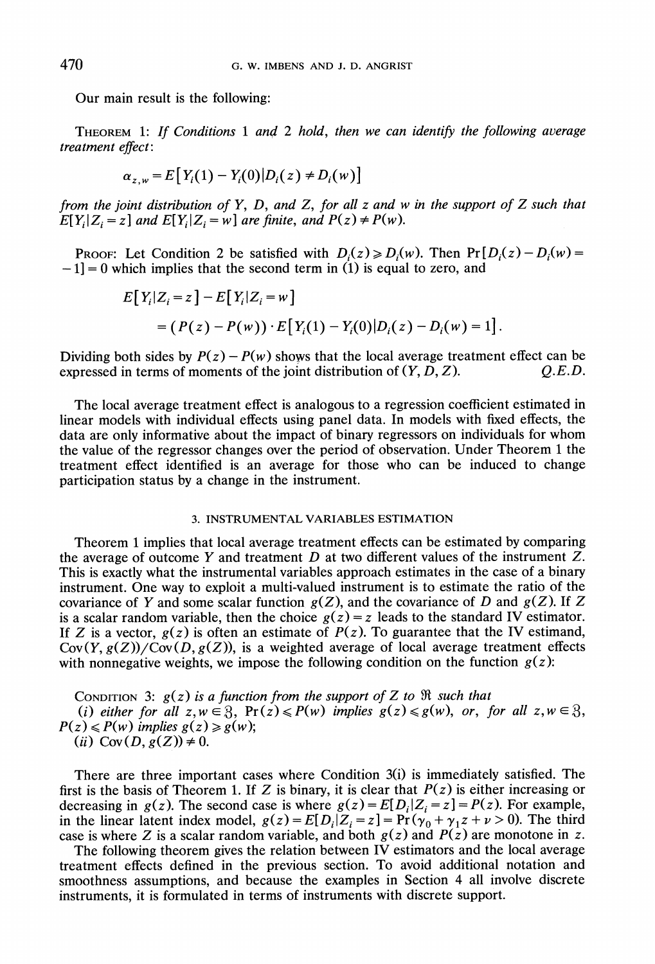Our main result is the following:

THEOREM 1: If Conditions 1 and 2 hold, then we can identify the following average treatment effect:

$$
\alpha_{z,w} = E[Y_i(1) - Y_i(0)|D_i(z) \neq D_i(w)]
$$

from the joint distribution of Y, D, and Z, for all z and w in the support of Z such that  $E[Y_i|Z_i = z]$  and  $E[Y_i|Z_i = w]$  are finite, and  $P(z) \neq P(w)$ .

PROOF: Let Condition 2 be satisfied with  $D_i(z) \ge D_i(w)$ . Then  $Pr[D_i(z) - D_i(w)]$  $-1$ = 0 which implies that the second term in (1) is equal to zero, and

$$
E[Y_i|Z_i = z] - E[Y_i|Z_i = w]
$$
  
=  $(P(z) - P(w)) \cdot E[Y_i(1) - Y_i(0)|D_i(z) - D_i(w) = 1].$ 

Dividing both sides by  $P(z) - P(w)$  shows that the local average treatment effect can be expressed in terms of moments of the ioint distribution of  $(Y, D, Z)$ .  $Q.E.D.$ expressed in terms of moments of the joint distribution of  $(Y, D, Z)$ .

The local average treatment effect is analogous to a regression coefficient estimated in linear models with individual effects using panel data. In models with fixed effects, the data are only informative about the impact of binary regressors on individuals for whom the value of the regressor changes over the period of observation. Under Theorem 1 the treatment effect identified is an average for those who can be induced to change participation status by a change in the instrument.

### **3. INSTRUMENTAL VARIABLES ESTIMATION**

Theorem 1implies that local average treatment effects can be estimated by comparing the average of outcome Y and treatment  $D$  at two different values of the instrument  $Z$ . This is exactly what the instrumental variables approach estimates in the case of a binary instrument. One way to exploit a multi-valued instrument is to estimate the ratio of the covariance of Y and some scalar function  $g(Z)$ , and the covariance of D and  $g(Z)$ . If Z is a scalar random variable, then the choice  $g(z) = z$  leads to the standard IV estimator. If Z is a vector,  $g(z)$  is often an estimate of  $P(z)$ . To guarantee that the IV estimand,  $Cov(Y, g(Z))/Cov(D, g(Z))$ , is a weighted average of local average treatment effects with nonnegative weights, we impose the following condition on the function  $g(z)$ :

CONDITION 3:  $g(z)$  is a function from the support of Z to  $\Re$  such that (i) either for all  $z, w \in \mathcal{B}$ ,  $Pr(z) \leq P(w)$  implies  $g(z) \leq g(w)$ , or, for all  $z, w \in \mathcal{B}$ ,  $P(z) \le P(w)$  implies  $g(z) \ge g(w)$ ; (ii) Cov(D,  $g(Z)$ )  $\neq$  0.

There are three important cases where Condition 3(i) is immediately satisfied. The first is the basis of Theorem 1. If Z is binary, it is clear that  $P(z)$  is either increasing or decreasing in  $g(z)$ . The second case is where  $g(z) = E[D_i|Z_i = z] = P(z)$ . For example, in the linear latent index model,  $g(z) = E[D_i | Z_i = z] = Pr(\gamma_0 + \gamma_1 z + \nu > 0)$ . The third case is where Z is a scalar random variable, and both  $g(z)$  and  $P(z)$  are monotone in z.

The following theorem gives the relation between IV estimators and the local average treatment effects defined in the previous section. To avoid additional notation and smoothness assumptions, and because the examples in Section 4 all involve discrete instruments, it is formulated in terms of instruments with discrete support.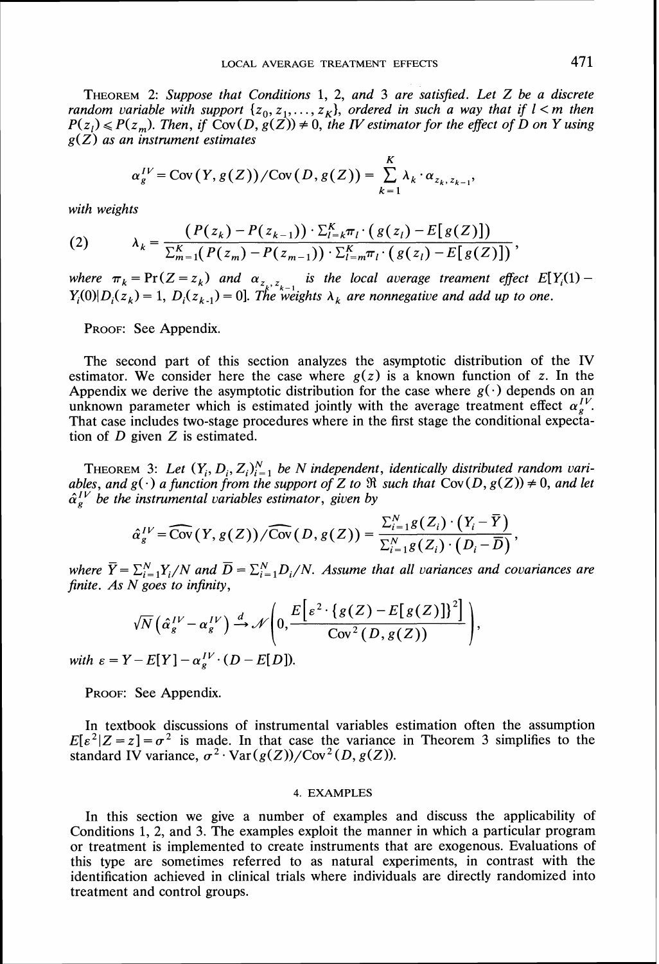*THEOREM2: Suppose that Conditions 1, 2, and 3 are satisfied. Let Z be a discrete random variable with support*  $\{z_0, z_1, \ldots, z_k\}$ , ordered in such a way that if  $l < m$  then candom variable with support  $\{z_0, z_1, \ldots, z_k\}$ , ordered in such a way that if  $l < m$  then  $P(z_l) \leq P(z_m)$ . Then, if  $Cov(D, g(Z)) \neq 0$ , the *IV* estimator for the effect of *D* on *Y* using  $P(z_l) \leq P(z_m)$ .  $g(Z)$  as an instrument estimates

$$
\alpha_g^{IV} = \text{Cov}(Y, g(Z)) / \text{Cov}(D, g(Z)) = \sum_{k=1}^K \lambda_k \cdot \alpha_{z_k, z_{k-1}},
$$

*with weights* 

(2) 
$$
\lambda_k = \frac{(P(z_k) - P(z_{k-1})) \cdot \sum_{i=k}^{K} \pi_i \cdot (g(z_i) - E[g(Z)])}{\sum_{m=1}^{K} (P(z_m) - P(z_{m-1})) \cdot \sum_{i=m}^{K} \pi_i \cdot (g(z_i) - E[g(Z)])}
$$

 $\sum_{m=1}^{\infty} (P(z_m) - P(z_{m-1})) \cdot \sum_{i=m}^{\infty} \pi_i \cdot (g(z_i) - E[g(z_j)])$ <br>where  $\pi_k = \Pr(Z = z_k)$  and  $\alpha_{z_k, z_{k-1}}$  is the local average treament effect  $E[Y_i(1) - E[X_i(1)]$  $Y_i(0)|D_i(z_k)=1, D_i(z_{k-1})=0$ . The weights  $\lambda_k$  are nonnegative and add up to one.

*PROOF: See Appendix.* 

*The second part of this section analyzes the asymptotic distribution of the IV estimator.* We consider here the case where  $g(z)$  is a known function of z. In the Appendix we derive the asymptotic distribution for the case where  $g(\cdot)$  depends on an unknown parameter which is estimated jointly with the average treatment effect  $\alpha_{\epsilon}^{IV}$ . *That case includes two-stage procedures where in the first stage the conditional expectation of D given Z is estimated.* 

THEOREM 3: Let  $(Y_i, D_i, Z_i)_{i=1}^N$  be N independent, identically distributed random variables, and  $g(\cdot)$  a function from the support of Z to  $\Re$  such that Cov $(D, g(Z)) \neq 0$ , and let  $\hat{\alpha}_g^{IV}$  be the instrumental variable

$$
\hat{\alpha}_g^{IV} = \widehat{\text{Cov}}(Y, g(Z)) / \widehat{\text{Cov}}(D, g(Z)) = \frac{\sum_{i=1}^N g(Z_i) \cdot (Y_i - \overline{Y})}{\sum_{i=1}^N g(Z_i) \cdot (D_i - \overline{D})},
$$

*where*  $\overline{Y} = \sum_{i=1}^{N} Y_i/N$  *and*  $\overline{D} = \sum_{i=1}^{N} D_i/N$ . *Assume that all variances and covariances are finite. As N goes to infinity,* 

$$
\sqrt{N}\left(\hat{\alpha}_g^{IV}-\alpha_g^{IV}\right)\stackrel{d}{\rightarrow}\mathscr{N}\left(0,\frac{E\left[\varepsilon^2\cdot\left\{g(Z)-E\left[\,g(Z)\,\right]\right\}^2\right]}{\text{Cov}^2\left(D,g(Z)\right)}\right),\,
$$

*with*  $\varepsilon = Y - E[Y] - \alpha_s^{IV} \cdot (D - E[D]).$ 

*PROOF: See Appendix.* 

*In textbook discussions of instrumental variables estimation often the assumption*   $E[\varepsilon^2 | Z = z] = \sigma^2$  is made. In that case the variance in Theorem 3 simplifies to the standard IV variance,  $\sigma^2$  · Var  $(g(Z))/Cov^2(D, g(Z))$ .

### 4. **EXAMPLES**

In this section we give a number of examples and discuss the applicability of *Conditions 1, 2, and 3. The examples exploit the manner in which a particular program or treatment is implemented to create instruments that are exogenous. Evaluations of this type are sometimes referred to as natural experiments, in contrast with the identification achieved in clinical trials where individuals are directly randomized into treatment and control groups.*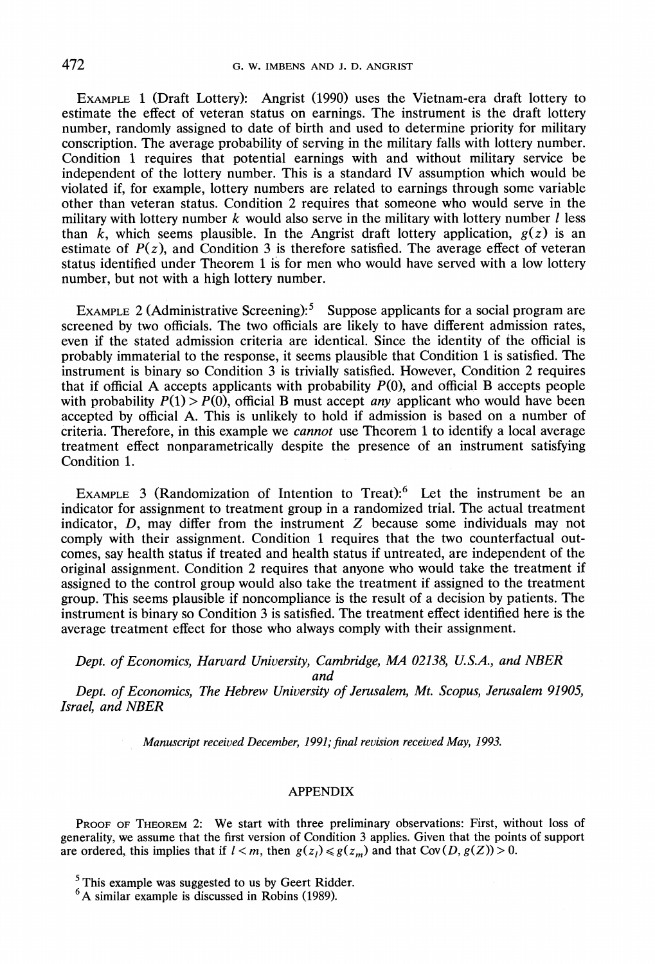EXAMPLE 1 (Draft Lottery): Angrist (1990) uses the Vietnam-era draft lottery to estimate the effect of veteran status on earnings. The instrument is the draft lottery number, randomly assigned to date of birth and used to determine priority for military conscription. The average probability of serving in the military falls with lottery number. Condition 1 requires that potential earnings with and without military service be independent of the lottery number. This is a standard IV assumption which would be violated if, for example, lottery numbers are related to earnings through some variable other than veteran status. Condition 2 requires that someone who would serve in the military with lottery number  $k$  would also serve in the military with lottery number  $l$  less than *k*, which seems plausible. In the Angrist draft lottery application,  $g(z)$  is an estimate of  $P(z)$ , and Condition 3 is therefore satisfied. The average effect of veteran status identified under Theorem 1is for men who would have served with a low lottery number, but not with a high lottery number.

EXAMPLE 2 (Administrative Screening):<sup>5</sup> Suppose applicants for a social program are screened by two officials. The two officials are likely to have different admission rates, even if the stated admission criteria are identical. Since the identity of the official is probably immaterial to the response, it seems plausible that Condition 1 is satisfied. The instrument is binary so Condition 3 is trivially satisfied. However, Condition 2 requires that if official A accepts applicants with probability  $P(0)$ , and official B accepts people with probability  $P(1) > P(0)$ , official B must accept *any* applicant who would have been accepted by official A. This is unlikely to hold if admission is based on a number of criteria. Therefore, in this example we *cannot* use Theorem 1 to identify a local average treatment effect nonparametrically despite the presence of an instrument satisfying Condition 1.

EXAMPLE 3 (Randomization of Intention to Treat): $6$  Let the instrument be an indicator for assignment to treatment group in a randomized trial. The actual treatment indicator, *D,* may differ from the instrument Z because some individuals may not comply with their assignment. Condition 1 requires that the two counterfactual outcomes, say health status if treated and health status if untreated, are independent of the original assignment. Condition 2 requires that anyone who would take the treatment if assigned to the control group would also take the treatment if assigned to the treatment group. This seems plausible if noncompliance is the result of a decision by patients. The instrument is binary so Condition 3 is satisfied. The treatment effect identified here is the average treatment effect for those who always comply with their assignment.

*Dept. of Economics, Haruard University, Cambridge, MA 02138, U.S.A., and NBER* 

*and* 

*Dept. of Economics, The Hebrew Uniuersity of Jerusalem, Mt. Scopus, Jerusalem 91905, Israel, and NBER* 

Manuscript received December, *1991;*final revision receiued May, *1993.* 

### **APPENDIX**

PROOF OF THEOREM 2: We start with three preliminary observations: First, without loss of generality, we assume that the first version of Condition **3** applies. Given that the points of support are ordered, this implies that if  $l < m$ , then  $g(z_l) \leq g(z_m)$  and that Cov(D,  $g(Z)$ ) > 0.

 $<sup>5</sup>$  This example was suggested to us by Geert Ridder.</sup>

<sup>&</sup>lt;sup>6</sup>A similar example is discussed in Robins (1989).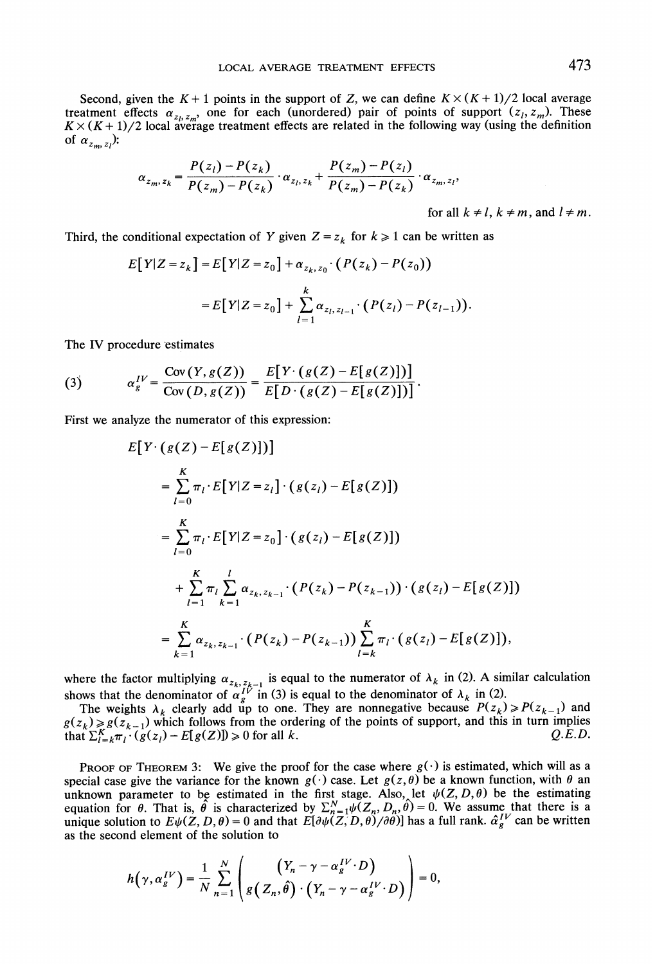Second, given the  $K + 1$  points in the support of *Z*, we can define  $K \times (K + 1)/2$  local average reatment effects  $\alpha_{z_l, z_m}$ , one for each (unordered) pair of points of support  $(z_l, z_m)$ . These  $(X \times (K + 1)/2)$  local average treatment effects are related in the following way (using the definition of  $\alpha_{z_m, z_l}$ ):

$$
\alpha_{z_m, z_k} = \frac{P(z_l) - P(z_k)}{P(z_m) - P(z_k)} \cdot \alpha_{z_l, z_k} + \frac{P(z_m) - P(z_l)}{P(z_m) - P(z_k)} \cdot \alpha_{z_m, z_l},
$$

for all  $k \neq l$ ,  $k \neq m$ , and  $l \neq m$ .

Third, the conditional expectation of Y given  $Z = z_k$  for  $k \ge 1$  can be written as

$$
E[Y|Z = z_k] = E[Y|Z = z_0] + \alpha_{z_k, z_0} \cdot (P(z_k) - P(z_0))
$$
  
= 
$$
E[Y|Z = z_0] + \sum_{l=1}^{k} \alpha_{z_l, z_{l-1}} \cdot (P(z_l) - P(z_{l-1})).
$$

The IV procedure estimates

(3) 
$$
\alpha_g^{IV} = \frac{\text{Cov}(Y, g(Z))}{\text{Cov}(D, g(Z))} = \frac{E[Y \cdot (g(Z) - E[g(Z)])]}{E[D \cdot (g(Z) - E[g(Z)])]}.
$$

First we analyze the numerator of this expression:

$$
E[Y \cdot (g(Z) - E[g(Z)])]
$$
  
\n
$$
= \sum_{l=0}^{K} \pi_{l} \cdot E[Y|Z = z_{l}] \cdot (g(z_{l}) - E[g(Z)])
$$
  
\n
$$
= \sum_{l=0}^{K} \pi_{l} \cdot E[Y|Z = z_{0}] \cdot (g(z_{l}) - E[g(Z)])
$$
  
\n
$$
+ \sum_{l=1}^{K} \pi_{l} \sum_{k=1}^{l} \alpha_{z_{k}, z_{k-1}} \cdot (P(z_{k}) - P(z_{k-1})) \cdot (g(z_{l}) - E[g(Z)])
$$
  
\n
$$
= \sum_{k=1}^{K} \alpha_{z_{k}, z_{k-1}} \cdot (P(z_{k}) - P(z_{k-1})) \sum_{l=k}^{K} \pi_{l} \cdot (g(z_{l}) - E[g(Z)]),
$$

where the factor multiplying  $\alpha_{z_k, z_{k-1}}$  is equal to the numerator of  $\lambda_k$  in (2). A similar calculation

shows that the denominator of  $\alpha_k^{\mu}$  in (3) is equal to the denominator of  $\lambda_k$  in (2). The weights  $\lambda_k$  clearly add up to one. They are nonnegative because  $P(z_k) \ge P(z_{k-1})$  and  $g(z_k) \geq g(z_{k-1})$  which follows from the ordering of the points of support, and this in turn implies that  $\sum_{l=k}^{K} \pi_l \cdot (g(z_l) - E[g(Z)]) \geq 0$  for all k. *Q.E.D.* 

PROOF OF THEOREM 3: We give the proof for the case where  $g(\cdot)$  is estimated, which will as a special case give the variance for the known  $g(\cdot)$  case. Let  $g(z, \theta)$  be a known function, with  $\theta$  an unknown parameter to be estimated in the first stage. Also, let  $\psi(Z, D, \theta)$  be the estimating equation for  $\theta$ . That is,  $\hat{\theta}$  is characterized by  $\sum_{n=1}^{N} \psi(Z_n, D_n, \theta) = 0$ . We assume that there is a unique solution to  $E\psi(Z, D, \theta) = 0$  and that  $E[\partial \psi(Z, D, \theta) / \partial \theta]$  has a full rank.  $\hat{\alpha}_g^{IV}$  can be written as the second element of the solution to

$$
h(\gamma, \alpha_s^{IV}) = \frac{1}{N} \sum_{n=1}^N \left( \frac{(Y_n - \gamma - \alpha_s^{IV} \cdot D)}{g(Z_n, \hat{\theta}) \cdot (Y_n - \gamma - \alpha_s^{IV} \cdot D)} \right) = 0,
$$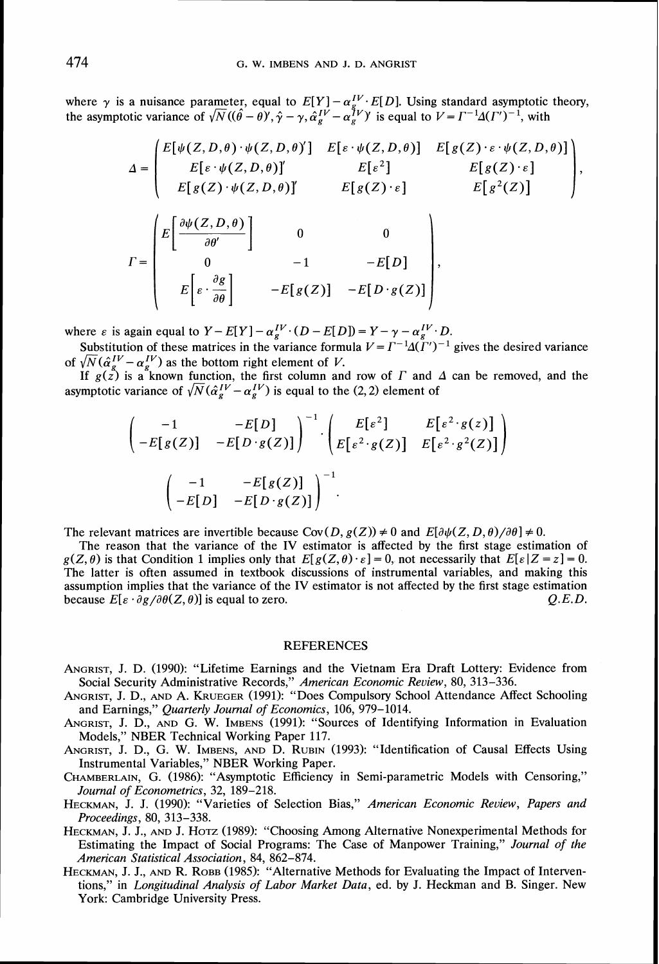where  $\gamma$  is a nuisance parameter, equal to  $E[Y] - \alpha_{g}^{IV} E[D]$ . Using standard asymptotic theory, where  $\gamma$  is a nuisance parameter, equal to  $E[Y] - \alpha_i^T \cdot E[D]$ . Using standard asymptotic variance of  $\sqrt{N}((\hat{\theta} - \theta)^r, \hat{\gamma} - \gamma, \hat{\alpha}_g^{IV})$  is equal to  $V = \Gamma^{-1} \Delta(\Gamma^r)^{-1}$ , with

$$
\Delta = \begin{pmatrix}\nE[\psi(Z, D, \theta) \cdot \psi(Z, D, \theta)'] & E[\varepsilon \cdot \psi(Z, D, \theta)] & E[g(Z) \cdot \varepsilon \cdot \psi(Z, D, \theta)] \\
E[\varepsilon \cdot \psi(Z, D, \theta)]' & E[\varepsilon^2] & E[g(Z) \cdot \varepsilon] \\
E[g(Z) \cdot \psi(Z, D, \theta)]' & E[g(Z) \cdot \varepsilon] & E[g^2(Z)]\n\end{pmatrix},
$$
\n
$$
\Gamma = \begin{pmatrix}\nE\left[\frac{\partial \psi(Z, D, \theta)}{\partial \theta'}\right] & 0 & 0 \\
0 & -1 & -E[D] \\
E\left[\varepsilon \cdot \frac{\partial g}{\partial \theta}\right] & -E[g(Z)] & -E[D \cdot g(Z)]\n\end{pmatrix},
$$

where  $\varepsilon$  is again equal to  $Y - E[Y] - \alpha_g^{IV} \cdot (D - E[D]) = Y - \gamma - \alpha_g^{IV} \cdot D$ .

Substitution of these matrices in the variance formula  $V = \Gamma^{-1} \Delta(\Gamma')^{-1}$  gives the desired variance of  $\sqrt{N}(\hat{\alpha}_g^{IV}-\alpha_g^{IV})$  as the bottom right element of *V*.

If  $g(z)$  is a known function, the first column and row of *Γ* and *Δ* can be removed, and the asymptotic variance of  $\sqrt{N}(\hat{\alpha}_{g}^{IV} - \alpha_{g}^{IV})$  is equal to the (2, 2) element of

$$
\begin{pmatrix}\n-1 & -E[D] \\
-E[g(Z)] & -E[D \cdot g(Z)]\n\end{pmatrix}^{-1} \cdot \begin{pmatrix}\nE[\varepsilon^2] & E[\varepsilon^2 \cdot g(z)] \\
E[\varepsilon^2 \cdot g(Z)] & E[\varepsilon^2 \cdot g^2(Z)]\n\end{pmatrix}
$$
\n
$$
\begin{pmatrix}\n-1 & -E[g(Z)] \\
-E[D] & -E[D \cdot g(Z)]\n\end{pmatrix}^{-1}.
$$

The relevant matrices are invertible because  $Cov(D, g(Z)) \neq 0$  and  $E[\partial \psi(Z, D, \theta)/\partial \theta] \neq 0$ .

The reason that the variance of the IV estimator is affected by the first stage estimation of  $g(Z, \theta)$  is that Condition 1 implies only that  $E[g(Z, \theta) \cdot \varepsilon] = 0$ , not necessarily that  $E[\varepsilon | Z = z] = 0$ . The latter is often assumed in textbook discussions of instrumental variables, and making this assumption implies that the variance of the IV estimator is not affected by the first stage estimation because  $E[\varepsilon \cdot \partial g / \partial \theta(Z, \theta)]$  is equal to zero. Q.E.D. because  $E[\varepsilon \cdot \partial g / \partial \theta(Z, \theta)]$  is equal to zero.

#### **REFERENCES**

- ANGRIST, J. D. (1990): "Lifetime Earnings and the Vietnam Era Draft Lottery: Evidence from Social Security Administrative Records," *American Economic Review, 80, 313-336.*
- ANGRIST,J. D., AND A. KRUEGER *(1991):* "Does Compulsory School Attendance Affect Schooling and Earnings," *Quarterly Journal of Economics, 106, 979-1014.*
- ANGRIST,J. D., AND G. W. IMBENS *(1991):* "Sources of Identifying Information in Evaluation Models," NBER Technical Working Paper *117.*
- ANGRIST, J. D., G. W. IMBENS, AND D. RUBIN (1993): "Identification of Causal Effects Using Instrumental Variables," NBER Working Paper.
- CHAMBERLAIN, G. *(1986):* "Asymptotic Efficiency in Semi-parametric Models with Censoring," *Journal of Econometrics, 32, 189-218.*
- HECKMAN,J. J. *(1990):* "Varieties of Selection Bias," *American Economic Review, Papers and Proceedings, 80, 313-338.*
- HECKMAN, J. J., AND J. HOTZ*(1989):* "Choosing Among Alternative Nonexperimental Methods for Estimating the Impact of Social Programs: The Case of Manpower Training," *Journal of the American Statistical Association, 84, 862-874.*
- HECKMAN, *J. J.,* AND R. ROBB *(1985):* "Alternative Methods for Evaluating the Impact of Interventions," in *Longitudinal Analysis of Labor Market Data,* ed. by *J.* Heckman and B. Singer. New York: Cambridge University Press.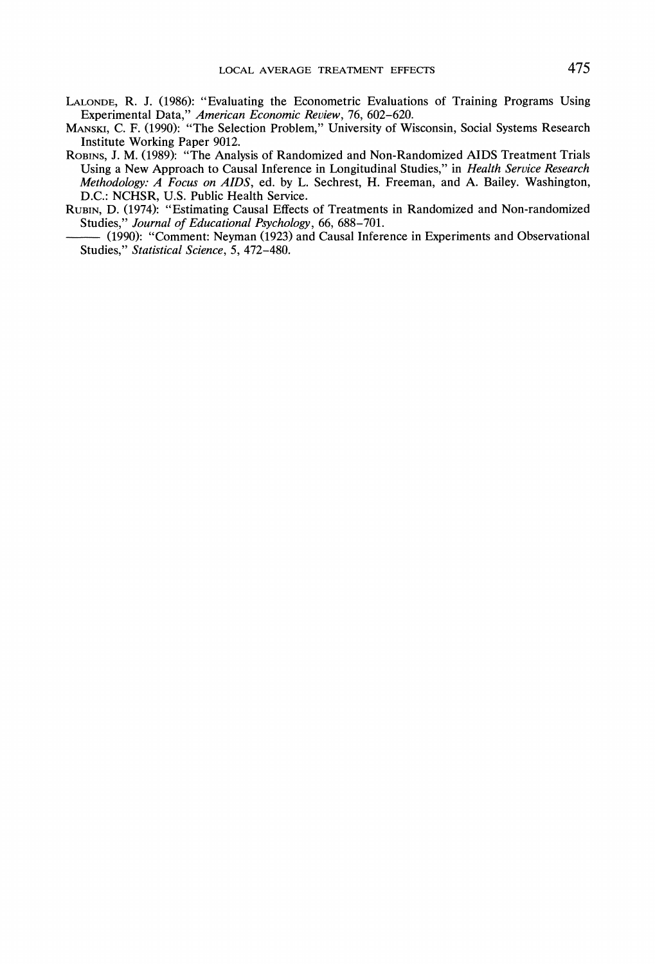- LALONDE, R. J. (1986): "Evaluating the Econometric Evaluations of Training Programs Using Experimental Data," *American Economic Review,* 76, 602-620.
- MANSKI,C. F. (1990): "The Selection Problem," University of Wisconsin, Social Systems Research Institute Working Paper 9012.
- IRSENS, J. M. (1989): "The Analysis of Randomized and Non-Randomized AIDS Treatment Trials<br>
Using a New Approach to Causal Inference in Longitudinal Studies," in *Health Service Research Methodology: A Focus on AIDS*, ed. Using a New Approach to Causal Inference in Longitudinal Studies," in *Health Service Research Methodology: A Focus on AIDS,* ed. by L. Sechrest, H. Freeman, and A. Bailey. Washington, D.C.: NCHSR, U.S. Public Health Service.
- RUBIN, D. (1974): "Estimating Causal Effects of Treatments in Randomized and Non-randomized Studies," *Journal of Educational Psychology*, 66, 688–701.<br>
(1990): "Comment: Neyman (1923) and Causal Inference in Experiments and Observational
- Studies," *Statistical Science,* 5, 472-480.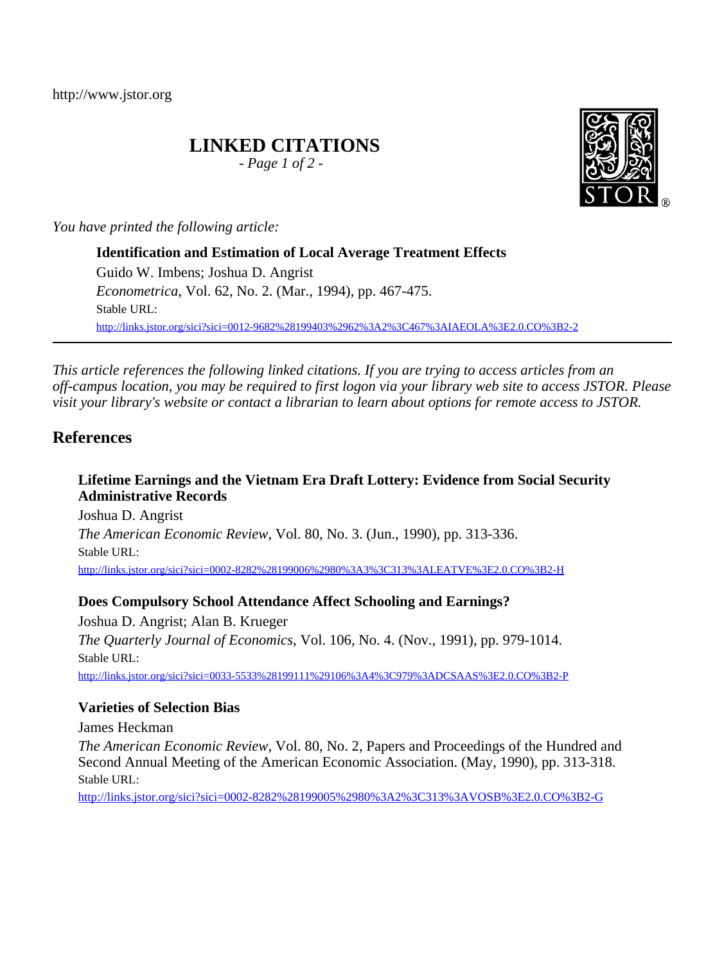http://www.jstor.org

## **LINKED CITATIONS**

*- Page 1 of 2 -*

*You have printed the following article:*

**Identification and Estimation of Local Average Treatment Effects** Guido W. Imbens; Joshua D. Angrist *Econometrica*, Vol. 62, No. 2. (Mar., 1994), pp. 467-475. Stable URL: [http://links.jstor.org/sici?sici=0012-9682%28199403%2962%3A2%3C467%3AIAEOLA%3E2.0.CO%3B2-2](http://links.jstor.org/sici?sici=0012-9682%28199403%2962%3A2%3C467%3AIAEOLA%3E2.0.CO%3B2-2&origin=JSTOR-pdf)

*This article references the following linked citations. If you are trying to access articles from an off-campus location, you may be required to first logon via your library web site to access JSTOR. Please visit your library's website or contact a librarian to learn about options for remote access to JSTOR.*

## **References**

### **Lifetime Earnings and the Vietnam Era Draft Lottery: Evidence from Social Security Administrative Records**

Joshua D. Angrist *The American Economic Review*, Vol. 80, No. 3. (Jun., 1990), pp. 313-336. Stable URL: [http://links.jstor.org/sici?sici=0002-8282%28199006%2980%3A3%3C313%3ALEATVE%3E2.0.CO%3B2-H](http://links.jstor.org/sici?sici=0002-8282%28199006%2980%3A3%3C313%3ALEATVE%3E2.0.CO%3B2-H&origin=JSTOR-pdf)

### **Does Compulsory School Attendance Affect Schooling and Earnings?**

Joshua D. Angrist; Alan B. Krueger *The Quarterly Journal of Economics*, Vol. 106, No. 4. (Nov., 1991), pp. 979-1014. Stable URL: [http://links.jstor.org/sici?sici=0033-5533%28199111%29106%3A4%3C979%3ADCSAAS%3E2.0.CO%3B2-P](http://links.jstor.org/sici?sici=0033-5533%28199111%29106%3A4%3C979%3ADCSAAS%3E2.0.CO%3B2-P&origin=JSTOR-pdf)

## **Varieties of Selection Bias**

James Heckman

*The American Economic Review*, Vol. 80, No. 2, Papers and Proceedings of the Hundred and Second Annual Meeting of the American Economic Association. (May, 1990), pp. 313-318. Stable URL:

[http://links.jstor.org/sici?sici=0002-8282%28199005%2980%3A2%3C313%3AVOSB%3E2.0.CO%3B2-G](http://links.jstor.org/sici?sici=0002-8282%28199005%2980%3A2%3C313%3AVOSB%3E2.0.CO%3B2-G&origin=JSTOR-pdf)